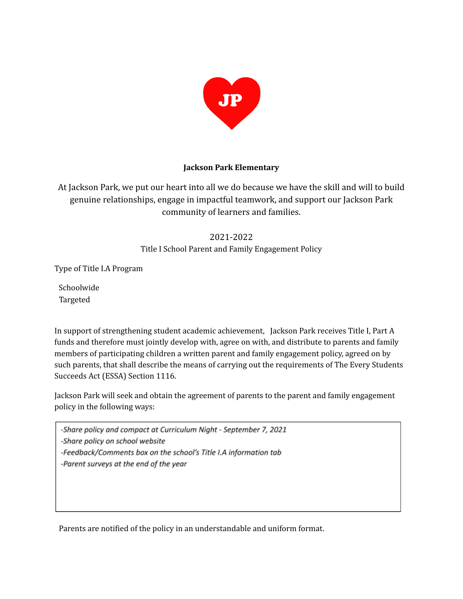

### **Jackson Park Elementary**

At Jackson Park, we put our heart into all we do because we have the skill and will to build genuine relationships, engage in impactful teamwork, and support our Jackson Park community of learners and families.

# 2021-2022

Title I School Parent and Family Engagement Policy

Type of Title I.A Program

Schoolwide Targeted

In support of strengthening student academic achievement, Jackson Park receives Title I, Part A funds and therefore must jointly develop with, agree on with, and distribute to parents and family members of participating children a written parent and family engagement policy, agreed on by such parents, that shall describe the means of carrying out the requirements of The Every Students Succeeds Act (ESSA) Section 1116.

Jackson Park will seek and obtain the agreement of parents to the parent and family engagement policy in the following ways:

-Share policy and compact at Curriculum Night - September 7, 2021

-Share policy on school website

-Feedback/Comments box on the school's Title I.A information tab

-Parent surveys at the end of the year

Parents are notified of the policy in an understandable and uniform format.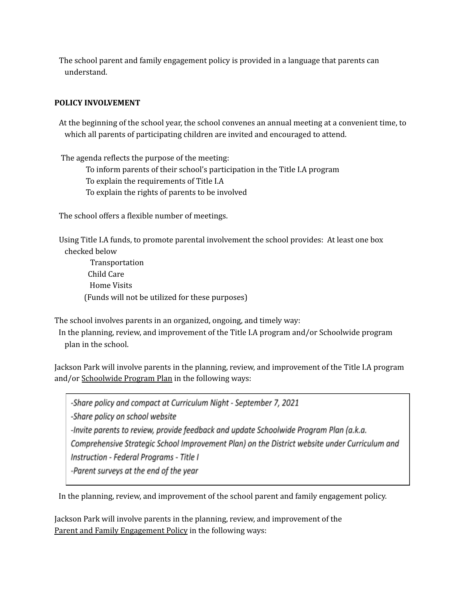The school parent and family engagement policy is provided in a language that parents can understand.

## **POLICY INVOLVEMENT**

At the beginning of the school year, the school convenes an annual meeting at a convenient time, to which all parents of participating children are invited and encouraged to attend.

The agenda reflects the purpose of the meeting:

To inform parents of their school's participation in the Title I.A program

To explain the requirements of Title I.A

To explain the rights of parents to be involved

The school offers a flexible number of meetings.

Using Title I.A funds, to promote parental involvement the school provides: At least one box checked below

Transportation Child Care Home Visits (Funds will not be utilized for these purposes)

The school involves parents in an organized, ongoing, and timely way:

In the planning, review, and improvement of the Title I.A program and/or Schoolwide program plan in the school.

Jackson Park will involve parents in the planning, review, and improvement of the Title I.A program and/or Schoolwide Program Plan in the following ways:

-Share policy and compact at Curriculum Night - September 7, 2021 -Share policy on school website -Invite parents to review, provide feedback and update Schoolwide Program Plan (a.k.a. Comprehensive Strategic School Improvement Plan) on the District website under Curriculum and Instruction - Federal Programs - Title I -Parent surveys at the end of the year

In the planning, review, and improvement of the school parent and family engagement policy.

Jackson Park will involve parents in the planning, review, and improvement of the Parent and Family Engagement Policy in the following ways: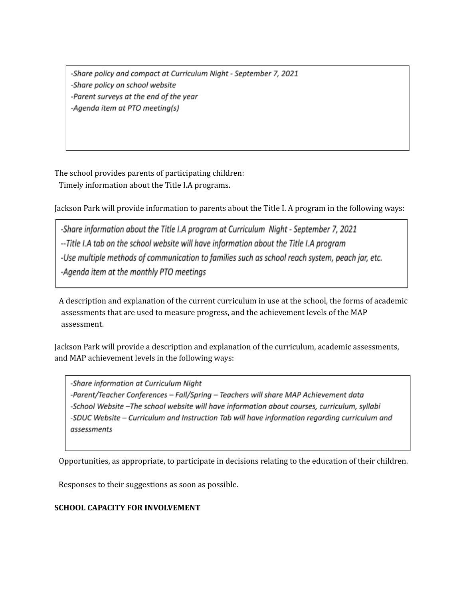-Share policy and compact at Curriculum Night - September 7, 2021 -Share policy on school website -Parent surveys at the end of the year -Agenda item at PTO meeting(s)

The school provides parents of participating children: Timely information about the Title I.A programs.

Jackson Park will provide information to parents about the Title I. A program in the following ways:

-Share information about the Title I.A program at Curriculum Night - September 7, 2021 -- Title I.A tab on the school website will have information about the Title I.A program -Use multiple methods of communication to families such as school reach system, peach jar, etc. -Agenda item at the monthly PTO meetings

A description and explanation of the current curriculum in use at the school, the forms of academic assessments that are used to measure progress, and the achievement levels of the MAP assessment.

Jackson Park will provide a description and explanation of the curriculum, academic assessments, and MAP achievement levels in the following ways:

-Share information at Curriculum Night -Parent/Teacher Conferences - Fall/Spring - Teachers will share MAP Achievement data -School Website -The school website will have information about courses, curriculum, syllabi -SDUC Website - Curriculum and Instruction Tab will have information regarding curriculum and assessments

Opportunities, as appropriate, to participate in decisions relating to the education of their children.

Responses to their suggestions as soon as possible.

# **SCHOOL CAPACITY FOR INVOLVEMENT**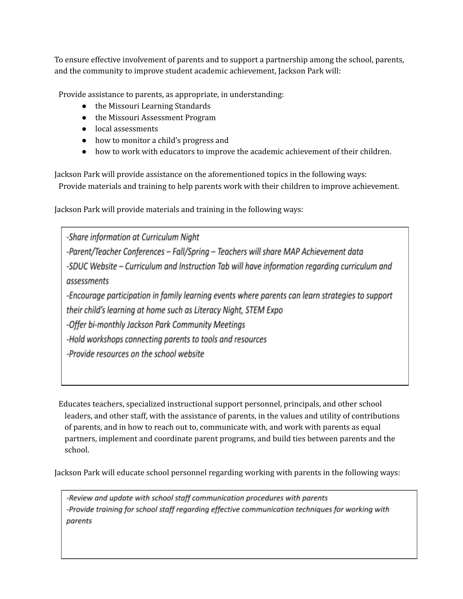To ensure effective involvement of parents and to support a partnership among the school, parents, and the community to improve student academic achievement, Jackson Park will:

Provide assistance to parents, as appropriate, in understanding:

- the Missouri Learning Standards
- the Missouri Assessment Program
- local assessments
- how to monitor a child's progress and
- how to work with educators to improve the academic achievement of their children.

Jackson Park will provide assistance on the aforementioned topics in the following ways: Provide materials and training to help parents work with their children to improve achievement.

Jackson Park will provide materials and training in the following ways:

-Share information at Curriculum Night -Parent/Teacher Conferences - Fall/Spring - Teachers will share MAP Achievement data -SDUC Website – Curriculum and Instruction Tab will have information regarding curriculum and assessments -Encourage participation in family learning events where parents can learn strategies to support their child's learning at home such as Literacy Night, STEM Expo -Offer bi-monthly Jackson Park Community Meetings -Hold workshops connecting parents to tools and resources -Provide resources on the school website

Educates teachers, specialized instructional support personnel, principals, and other school leaders, and other staff, with the assistance of parents, in the values and utility of contributions of parents, and in how to reach out to, communicate with, and work with parents as equal partners, implement and coordinate parent programs, and build ties between parents and the school.

Jackson Park will educate school personnel regarding working with parents in the following ways:

-Review and update with school staff communication procedures with parents -Provide training for school staff regarding effective communication techniques for working with parents